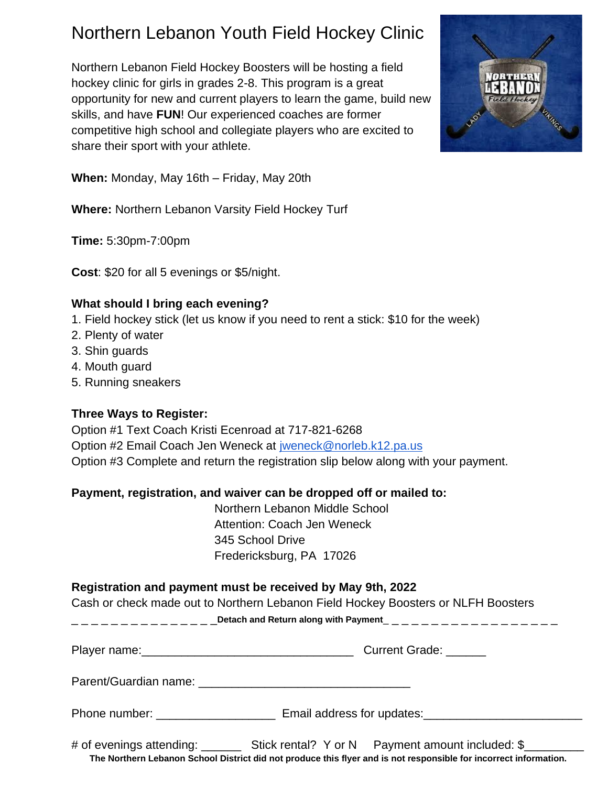# Northern Lebanon Youth Field Hockey Clinic

Northern Lebanon Field Hockey Boosters will be hosting a field hockey clinic for girls in grades 2-8. This program is a great opportunity for new and current players to learn the game, build new skills, and have **FUN**! Our experienced coaches are former competitive high school and collegiate players who are excited to share their sport with your athlete.



**When:** Monday, May 16th – Friday, May 20th

**Where:** Northern Lebanon Varsity Field Hockey Turf

**Time:** 5:30pm-7:00pm

**Cost**: \$20 for all 5 evenings or \$5/night.

### **What should I bring each evening?**

- 1. Field hockey stick (let us know if you need to rent a stick: \$10 for the week)
- 2. Plenty of water
- 3. Shin guards
- 4. Mouth guard
- 5. Running sneakers

### **Three Ways to Register:**

Option #1 Text Coach Kristi Ecenroad at 717-821-6268 Option #2 Email Coach Jen Weneck at [jweneck@norleb.k12.pa.us](mailto:jweneck@norleb.k12.pa.us)  Option #3 Complete and return the registration slip below along with your payment.

### **Payment, registration, and waiver can be dropped off or mailed to:**

Northern Lebanon Middle School Attention: Coach Jen Weneck 345 School Drive Fredericksburg, PA 17026

### **Registration and payment must be received by May 9th, 2022**

Cash or check made out to Northern Lebanon Field Hockey Boosters or NLFH Boosters

\_\_\_\_\_\_\_\_\_\_\_\_\_\_<mark>Detach and Return along with Payment\_\_\_\_\_\_\_\_\_\_\_\_\_\_\_\_\_\_\_\_\_\_\_\_\_\_\_\_\_\_</mark>

| Player name: | <b>Current Grade:</b> |
|--------------|-----------------------|
|              |                       |

Parent/Guardian name: \_\_\_\_\_\_\_\_\_\_\_\_\_\_\_\_\_\_\_\_\_\_\_\_\_\_\_\_\_\_\_\_

Phone number: \_\_\_\_\_\_\_\_\_\_\_\_\_\_\_\_\_\_\_\_\_\_\_\_ Email address for updates: \_\_\_\_\_\_\_\_\_\_\_\_\_\_\_

# of evenings attending: \_\_\_\_\_\_\_\_\_ Stick rental? Y or N Payment amount included: \$ **The Northern Lebanon School District did not produce this flyer and is not responsible for incorrect information.**